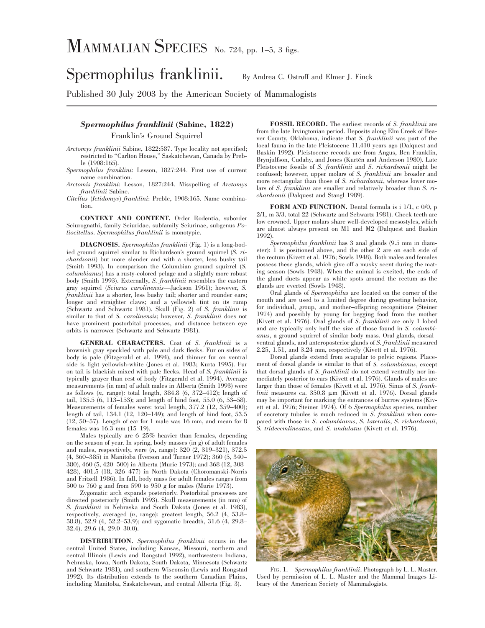Spermophilus franklinii. By Andrea C. Ostroff and Elmer J. Finck

Published 30 July 2003 by the American Society of Mammalogists

## *Spermophilus franklinii* **(Sabine, 1822)**

Franklin's Ground Squirrel

*Arctomys franklinii* Sabine, 1822:587. Type locality not specified; restricted to ''Carlton House,'' Saskatchewan, Canada by Preble (1908:165).

*Spermophilus franklini*: Lesson, 1827:244. First use of current name combination.

*Arctomis franklini*: Lesson, 1827:244. Misspelling of *Arctomys franklinii* Sabine.

*Citellus* (*Ictidomys*) *franklini*: Preble, 1908:165. Name combination.

**CONTEXT AND CONTENT.** Order Rodentia, suborder Sciurognathi, family Sciuridae, subfamily Sciurinae, subgenus *Poliocitellus*. *Spermophilus franklinii* is monotypic.

**DIAGNOSIS.** *Spermophilus franklinii* (Fig. 1) is a long-bodied ground squirrel similar to Richardson's ground squirrel (*S. richardsonii*) but more slender and with a shorter, less bushy tail (Smith 1993). In comparison the Columbian ground squirrel (*S. columbianus*) has a rusty-colored pelage and a slightly more robust body (Smith 1993). Externally, *S. franklinii* resembles the eastern gray squirrel (*Sciurus carolinensis*—Jackson 1961); however, *S. franklinii* has a shorter, less bushy tail; shorter and rounder ears; longer and straighter claws; and a yellowish tint on its rump (Schwartz and Schwartz 1981). Skull (Fig. 2) of *S. franklinii* is similar to that of *S. carolinensis*; however, *S. franklinii* does not have prominent postorbital processes, and distance between eye orbits is narrower (Schwartz and Schwartz 1981).

**GENERAL CHARACTERS.** Coat of *S. franklinii* is a brownish gray speckled with pale and dark flecks. Fur on sides of body is pale (Fitzgerald et al. 1994), and thinner fur on ventral side is light yellowish-white (Jones et al. 1983; Kurta 1995). Fur on tail is blackish mixed with pale flecks. Head of *S. franklinii* is typically grayer than rest of body (Fitzgerald et al. 1994). Average measurements (in mm) of adult males in Alberta (Smith 1993) were as follows (*n*, range): total length, 384.8 (6, 372–412); length of tail, 135.5 (6, 113–153); and length of hind foot, 55.0 (6, 53–58). Measurements of females were: total length, 377.2 (12, 359–400); length of tail, 134.1 (12, 120–149); and length of hind foot, 53.5 (12, 50–57). Length of ear for 1 male was 16 mm, and mean for 8 females was 16.3 mm (15–19).

Males typically are 6–25% heavier than females, depending on the season of year. In spring, body masses (in g) of adult females and males, respectively, were (*n*, range): 320 (2, 319–321), 372.5 (4, 360–385) in Manitoba (Iverson and Turner 1972); 360 (5, 340– 380), 460 (5, 420–500) in Alberta (Murie 1973); and 368 (12, 308– 428), 401.5 (18, 326–477) in North Dakota (Choromanski-Norris and Fritzell 1986). In fall, body mass for adult females ranges from 500 to 760 g and from 590 to 950 g for males (Murie 1973).

Zygomatic arch expands posteriorly. Postorbital processes are directed posteriorly (Smith 1993). Skull measurements (in mm) of *S. franklinii* in Nebraska and South Dakota (Jones et al. 1983), respectively, averaged (*n*, range): greatest length, 56.2 (4, 53.8– 58.8), 52.9 (4, 52.2–53.9); and zygomatic breadth, 31.6 (4, 29.8– 32.4), 29.6 (4, 29.0–30.0).

**DISTRIBUTION.** *Spermophilus franklinii* occurs in the central United States, including Kansas, Missouri, northern and central Illinois (Lewis and Rongstad 1992), northwestern Indiana, Nebraska, Iowa, North Dakota, South Dakota, Minnesota (Schwartz and Schwartz 1981), and southern Wisconsin (Lewis and Rongstad 1992). Its distribution extends to the southern Canadian Plains, including Manitoba, Saskatchewan, and central Alberta (Fig. 3).

**FOSSIL RECORD.** The earliest records of *S. franklinii* are from the late Irvingtonian period. Deposits along Elm Creek of Beaver County, Oklahoma, indicate that *S. franklinii* was part of the local fauna in the late Pleistocene 11,410 years ago (Dalquest and Baskin 1992). Pleistocene records are from Angus, Ben Franklin, Brynjulfson, Cudahy, and Jones (Kurtén and Anderson 1980). Late Pleistocene fossils of *S. franklinii* and *S. richardsonii* might be confused; however, upper molars of *S. franklinii* are broader and more rectangular than those of *S. richardsonii*, whereas lower molars of *S. franklinii* are smaller and relatively broader than *S. richardsonii* (Dalquest and Stangl 1989).

**FORM AND FUNCTION.** Dental formula is i 1/1, c 0/0, p 2/1, m 3/3, total 22 (Schwartz and Schwartz 1981). Cheek teeth are low crowned. Upper molars share well-developed mesostyles, which are almost always present on M1 and M2 (Dalquest and Baskin 1992).

*Spermophilus franklinii* has 3 anal glands (9.5 mm in diameter): 1 is positioned above, and the other 2 are on each side of the rectum (Kivett et al. 1976; Sowls 1948). Both males and females possess these glands, which give off a musky scent during the mating season (Sowls 1948). When the animal is excited, the ends of the gland ducts appear as white spots around the rectum as the glands are everted (Sowls 1948).

Oral glands of *Spermophilus* are located on the corner of the mouth and are used to a limited degree during greeting behavior, for individual, group, and mother–offspring recognitions (Steiner 1974) and possibly by young for begging food from the mother (Kivett et al. 1976). Oral glands of *S. franklinii* are only 1 lobed and are typically only half the size of those found in *S. columbianus*, a ground squirrel of similar body mass. Oral glands, dorsal– ventral glands, and anteroposterior glands of *S. franklinii* measured 2.25, 1.51, and 3.24 mm, respectively (Kivett et al. 1976).

Dorsal glands extend from scapular to pelvic regions. Placement of dorsal glands is similar to that of *S. columbianus*, except that dorsal glands of *S. franklinii* do not extend ventrally nor immediately posterior to ears (Kivett et al. 1976). Glands of males are larger than those of females (Kivett et al. 1976). Sinus of *S. franklinii* measures ca. 350.8  $\mu$ m (Kivett et al. 1976). Dorsal glands may be important for marking the entrances of burrow systems (Kivett et al. 1976; Steiner 1974). Of 6 *Spermophilus* species, number of secretory tubules is much reduced in *S. franklinii* when compared with those in *S. columbianus*, *S. lateralis*, *S. richardsonii*, *S. tridecemlineatus*, and *S. undulatus* (Kivett et al. 1976).



FIG. 1. *Spermophilus franklinii*. Photograph by L. L. Master. Used by permission of L. L. Master and the Mammal Images Library of the American Society of Mammalogists.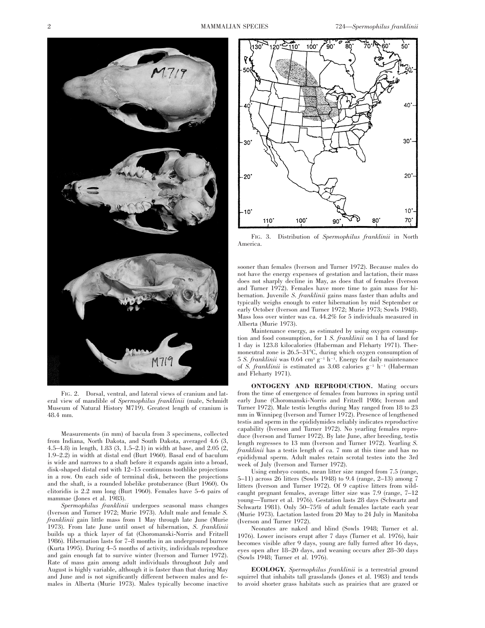

FIG. 2. Dorsal, ventral, and lateral views of cranium and lateral view of mandible of *Spermophilus franklinii* (male, Schmidt Museum of Natural History M719). Greatest length of cranium is 48.4 mm.

Measurements (in mm) of bacula from 3 specimens, collected from Indiana, North Dakota, and South Dakota, averaged 4.6 (3, 4.5–4.8) in length, 1.83 (3, 1.5–2.1) in width at base, and 2.05 (2, 1.9–2.2) in width at distal end (Burt 1960). Basal end of baculum is wide and narrows to a shaft before it expands again into a broad, disk-shaped distal end with 12–15 continuous toothlike projections in a row. On each side of terminal disk, between the projections and the shaft, is a rounded lobelike protuberance (Burt 1960). Os clitoridis is 2.2 mm long (Burt 1960). Females have 5–6 pairs of mammae (Jones et al. 1983).

*Spermophilus franklinii* undergoes seasonal mass changes (Iverson and Turner 1972; Murie 1973). Adult male and female *S. franklinii* gain little mass from 1 May through late June (Murie 1973). From late June until onset of hibernation, *S. franklinii* builds up a thick layer of fat (Choromanski-Norris and Fritzell 1986). Hibernation lasts for 7–8 months in an underground burrow (Kurta 1995). During 4–5 months of activity, individuals reproduce and gain enough fat to survive winter (Iverson and Turner 1972). Rate of mass gain among adult individuals throughout July and August is highly variable, although it is faster than that during May and June and is not significantly different between males and females in Alberta (Murie 1973). Males typically become inactive



FIG. 3. Distribution of *Spermophilus franklinii* in North America.

sooner than females (Iverson and Turner 1972). Because males do not have the energy expenses of gestation and lactation, their mass does not sharply decline in May, as does that of females (Iverson and Turner 1972). Females have more time to gain mass for hibernation. Juvenile *S. franklinii* gains mass faster than adults and typically weighs enough to enter hibernation by mid September or early October (Iverson and Turner 1972; Murie 1973; Sowls 1948). Mass loss over winter was ca. 44.2% for 5 individuals measured in Alberta (Murie 1973).

Maintenance energy, as estimated by using oxygen consumption and food consumption, for 1 *S. franklinii* on 1 ha of land for 1 day is 123.8 kilocalories (Haberman and Fleharty 1971). Thermoneutral zone is  $26.5-31^{\circ}$ C, during which oxygen consumption of  $5 S. *franklinii* was  $0.64 \, \text{cm}^3 \, \text{g}^{-1} \, \text{h}^{-1}$ . Energy for daily maintenance$ of *S. franklinii* is estimated as 3.08 calories  $g^{-1}$  h<sup>-1</sup> (Haberman and Fleharty 1971).

**ONTOGENY AND REPRODUCTION.** Mating occurs from the time of emergence of females from burrows in spring until early June (Choromanski-Norris and Fritzell 1986; Iverson and Turner 1972). Male testis lengths during May ranged from 18 to 23 mm in Winnipeg (Iverson and Turner 1972). Presence of lengthened testis and sperm in the epididymides reliably indicates reproductive capability (Iverson and Turner 1972). No yearling females reproduce (Iverson and Turner 1972). By late June, after breeding, testis length regresses to 13 mm (Iverson and Turner 1972). Yearling *S. franklinii* has a testis length of ca. 7 mm at this time and has no epididymal sperm. Adult males retain scrotal testes into the 3rd week of July (Iverson and Turner 1972).

Using embryo counts, mean litter size ranged from 7.5 (range, 5–11) across 26 litters (Sowls 1948) to 9.4 (range, 2–13) among 7 litters (Iverson and Turner 1972). Of 9 captive litters from wildcaught pregnant females, average litter size was 7.9 (range, 7–12 young—Turner et al. 1976). Gestation lasts 28 days (Schwartz and Schwartz 1981). Only 50–75% of adult females lactate each year (Murie 1973). Lactation lasted from 20 May to 24 July in Manitoba (Iverson and Turner 1972).

Neonates are naked and blind (Sowls 1948; Turner et al. 1976). Lower incisors erupt after 7 days (Turner et al. 1976), hair becomes visible after 9 days, young are fully furred after 16 days, eyes open after 18–20 days, and weaning occurs after 28–30 days (Sowls 1948; Turner et al. 1976).

**ECOLOGY.** *Spermophilus franklinii* is a terrestrial ground squirrel that inhabits tall grasslands (Jones et al. 1983) and tends to avoid shorter grass habitats such as prairies that are grazed or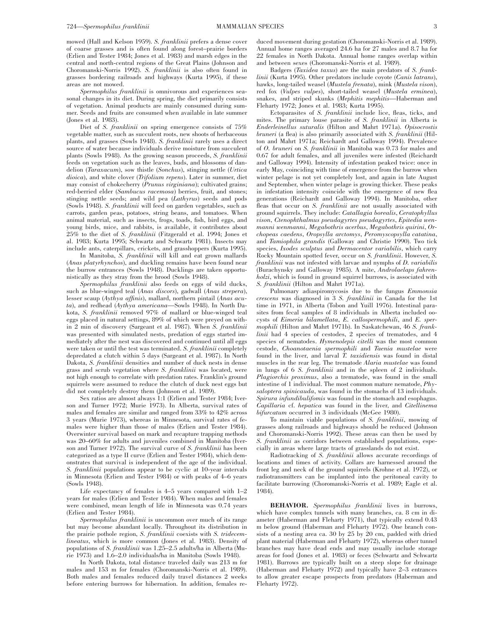mowed (Hall and Kelson 1959). *S. franklinii* prefers a dense cover of coarse grasses and is often found along forest–prairie borders (Erlien and Tester 1984; Jones et al. 1983) and marsh edges in the central and north-central regions of the Great Plains (Johnson and Choromanski-Norris 1992). *S. franklinii* is also often found in grasses bordering railroads and highways (Kurta 1995), if these areas are not mowed.

*Spermophilus franklinii* is omnivorous and experiences seasonal changes in its diet. During spring, the diet primarily consists of vegetation. Animal products are mainly consumed during summer. Seeds and fruits are consumed when available in late summer (Jones et al. 1983).

Diet of *S. franklinii* on spring emergence consists of 75% vegetable matter, such as succulent roots, new shoots of herbaceous plants, and grasses (Sowls 1948). *S. franklinii* rarely uses a direct source of water because individuals derive moisture from succulent plants (Sowls 1948). As the growing season proceeds, *S. franklinii* feeds on vegetation such as the leaves, buds, and blossoms of dandelion (*Taraxacum*), sow thistle (*Sonchus*), stinging nettle (*Urtica dioica*), and white clover (*Trifolium repens*). Later in summer, diet may consist of chokecherry (*Prunus virginiana*); cultivated grains; red-berried elder (*Sambucus racemosa*) berries, fruit, and stones; stinging nettle seeds; and wild pea (*Lathyrus*) seeds and pods (Sowls 1948). *S. franklinii* will feed on garden vegetables, such as carrots, garden peas, potatoes, string beans, and tomatoes. When animal material, such as insects, frogs, toads, fish, bird eggs, and young birds, mice, and rabbits, is available, it contributes about 25% to the diet of *S. franklinii* (Fitzgerald et al. 1994; Jones et al. 1983; Kurta 1995; Schwartz and Schwartz 1981). Insects may include ants, caterpillars, crickets, and grasshoppers (Kurta 1995).

In Manitoba, *S. franklinii* will kill and eat grown mallards (*Anas platyrhynchos*), and duckling remains have been found near the burrow entrances (Sowls 1948). Ducklings are taken opportunistically as they stray from the brood (Sowls 1948).

*Spermophilus franklinii* also feeds on eggs of wild ducks, such as blue-winged teal (*Anas discors*), gadwall (*Anas strepera*), lesser scaup (*Aythya affinis*), mallard, northern pintail (*Anas acuta*), and redhead (*Aythya americana*—Sowls 1948). In North Dakota, *S. franklinii* removed 97% of mallard or blue-winged teal eggs placed in natural settings, 89% of which were preyed on within 2 min of discovery (Sargeant et al. 1987). When *S. franklinii* was presented with simulated nests, predation of eggs started immediately after the nest was discovered and continued until all eggs were taken or until the test was terminated. *S. franklinii* completely depredated a clutch within 5 days (Sargeant et al. 1987). In North Dakota, *S. franklinii* densities and number of duck nests in dense grass and scrub vegetation where *S. franklinii* was located, were not high enough to correlate with predation rates. Franklin's ground squirrels were assumed to reduce the clutch of duck nest eggs but did not completely destroy them (Johnson et al. 1989).

Sex ratios are almost always 1:1 (Erlien and Tester 1984; Iverson and Turner 1972; Murie 1973). In Alberta, survival rates of males and females are similar and ranged from 33% to 42% across 3 years (Murie 1973), whereas in Minnesota, survival rates of females were higher than those of males (Erlien and Tester 1984). Overwinter survival based on mark and recapture trapping methods was 20–60% for adults and juveniles combined in Manitoba (Iverson and Turner 1972). The survival curve of *S. franklinii* has been categorized as a type II curve (Erlien and Tester 1984), which demonstrates that survival is independent of the age of the individual. *S. franklinii* populations appear to be cyclic at 10-year intervals in Minnesota (Erlien and Tester 1984) or with peaks of 4–6 years (Sowls 1948).

Life expectancy of females is 4–5 years compared with 1–2 years for males (Erlien and Tester 1984). When males and females were combined, mean length of life in Minnesota was 0.74 years (Erlien and Tester 1984).

*Spermophilus franklinii* is uncommon over much of its range but may become abundant locally. Throughout its distribution in the prairie pothole region, *S. franklinii* coexists with *S. tridecemlineatus*, which is more common (Jones et al. 1983). Density of populations of *S. franklinii* was 1.25–2.5 adults/ha in Alberta (Murie 1973) and 1.6–2.0 individuals/ha in Manitoba (Sowls 1948).

In North Dakota, total distance traveled daily was 213 m for males and 153 m for females (Choromanski-Norris et al. 1989). Both males and females reduced daily travel distances 2 weeks before entering burrows for hibernation. In addition, females reduced movement during gestation (Choromanski-Norris et al. 1989). Annual home ranges averaged 24.6 ha for 27 males and 8.7 ha for 22 females in North Dakota. Annual home ranges overlap within and between sexes (Choromanski-Norris et al. 1989).

Badgers (*Taxidea taxus*) are the main predators of *S. franklinii* (Kurta 1995). Other predators include coyote (*Canis latrans*), hawks, long-tailed weasel (*Mustela frenata*), mink (*Mustela vison*), red fox (*Vulpes vulpes*), short-tailed weasel (*Mustela erminea*), snakes, and striped skunks (*Mephitis mephitis*—Haberman and Fleharty 1972; Jones et al. 1983; Kurta 1995).

Ectoparasites of *S. franklinii* include lice, fleas, ticks, and mites. The primary louse parasite of *S. franklinii* in Alberta is *Enderleinellus suturalis* (Hilton and Mahrt 1971a). *Opisocrostis bruneri* (a flea) is also primarily associated with *S. franklinii* (Hilton and Mahrt 1971a; Reichardt and Galloway 1994). Prevalence of *O. bruneri* on *S. franklinii* in Manitoba was 0.73 for males and 0.67 for adult females, and all juveniles were infested (Reichardt and Galloway 1994). Intensity of infestation peaked twice: once in early May, coinciding with time of emergence from the burrow when winter pelage is not yet completely lost, and again in late August and September, when winter pelage is growing thicker. These peaks in infestation intensity coincide with the emergence of new flea generations (Reichardt and Galloway 1994). In Manitoba, other fleas that occur on *S. franklinii* are not usually associated with ground squirrels. They include: *Catallagia borealis*, *Ceratophyllus vison*, *Ctenophthalmus pseudagyrtes pseudagyrtes*, *Epitedia wenmanni wenmanni*, *Megabothris acerbus*, *Megabothris quirini*, *Orchopeas caedens*, *Oropsylla arctomys*, *Peromyscopsylla catatina*, and *Tamiophila grandis* (Galloway and Christie 1990). Two tick species, *Ixodes sculptus* and *Dermacentor variabilis*, which carry Rocky Mountain spotted fever, occur on *S. franklinii*. However, *S. franklinii* was not infested with larvae and nymphs of *D. variabilis* (Burachynsky and Galloway 1985). A mite, *Androlaelaps fahrenholzi*, which is found in ground squirrel burrows, is associated with *S. franklinii* (Hilton and Mahrt 1971a).

Pulmonary adiaspiromycosis due to the fungus *Emmonsia crescens* was diagnosed in 3 *S. franklinii* in Canada for the 1st time in 1971, in Alberta (Tobon and Yuill 1976). Intestinal parasites from fecal samples of 8 individuals in Alberta included oocysts of *Eimeria bilamellata*, *E. callospermophili*, and *E. spermophili* (Hilton and Mahrt 1971b). In Saskatchewan, 46 *S. franklinii* had 4 species of cestodes, 2 species of trematodes, and 4 species of nematodes. *Hymenolepis citelli* was the most common cestode, *Choanotaenia spermophili* and *Taenia mustelae* were found in the liver, and larval *T. taxidiensis* was found in distal muscles in the rear leg. The trematode *Alaria mustelae* was found in lungs of 6 *S. franklinii* and in the spleen of 2 individuals. *Plagiorchis proximus*, also a trematode, was found in the small intestine of 1 individual. The most common mature nematode, *Physaloptera spinicauda*, was found in the stomachs of 13 individuals. *Spirura infundibulifomis* was found in the stomach and esophagus. *Capillaria* cf. *hepatica* was found in the liver, and *Citellinema bifurcatum* occurred in 3 individuals (McGee 1980).

To maintain viable populations of *S. franklinii*, mowing of grasses along railroads and highways should be reduced (Johnson and Choromanski-Norris 1992). These areas can then be used by *S. franklinii* as corridors between established populations, especially in areas where large tracts of grasslands do not exist.

Radiotracking of *S. franklinii* allows accurate recordings of locations and times of activity. Collars are harnessed around the front leg and neck of the ground squirrels (Krohne et al. 1972), or radiotransmitters can be implanted into the peritoneal cavity to facilitate burrowing (Choromanski-Norris et al. 1989; Eagle et al. 1984).

**BEHAVIOR.** *Spermophilus franklinii* lives in burrows, which have complex tunnels with many branches, ca. 8 cm in diameter (Haberman and Fleharty 1971), that typically extend 0.43 m below ground (Haberman and Fleharty 1972). One branch consists of a nesting area ca. 30 by 25 by 20 cm, padded with dried plant material (Haberman and Fleharty 1972), whereas other tunnel branches may have dead ends and may usually include storage areas for food (Jones et al. 1983) or feces (Schwartz and Schwartz 1981). Burrows are typically built on a steep slope for drainage (Haberman and Fleharty 1972) and typically have 2–3 entrances to allow greater escape prospects from predators (Haberman and Fleharty 1972).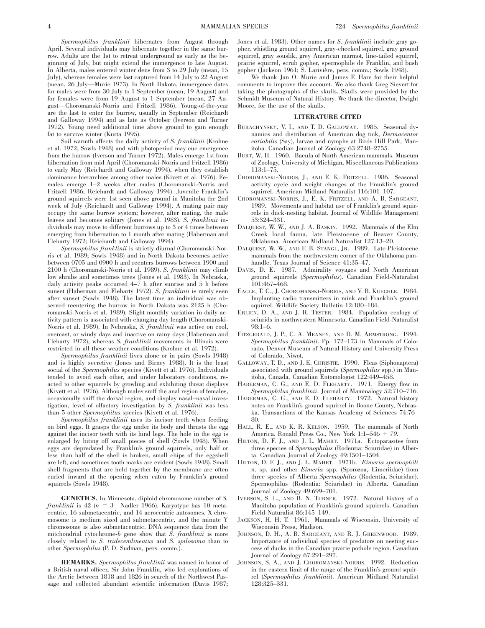*Spermophilus franklinii* hibernates from August through April. Several individuals may hibernate together in the same burrow. Adults are the 1st to retreat underground as early as the beginning of July, but might extend the immergence to late August. In Alberta, males entered winter dens from 3 to 29 July (mean, 15 July), whereas females were last captured from 14 July to 22 August (mean, 26 July—Murie 1973). In North Dakota, immergence dates for males were from 30 July to 1 September (mean, 19 August) and for females were from 19 August to 1 September (mean, 27 August—Choromanski-Norris and Fritzell 1986). Young-of-the-year are the last to enter the burrow, usually in September (Reichardt and Galloway 1994) and as late as October (Iverson and Turner 1972). Young need additional time above ground to gain enough fat to survive winter (Kurta 1995).

Soil warmth affects the daily activity of *S. franklinii* (Krohne et al. 1972; Sowls 1948) and with photoperiod may cue emergence from the burrow (Iverson and Turner 1972). Males emerge 1st from hibernation from mid April (Choromanski-Norris and Fritzell 1986) to early May (Reichardt and Galloway 1994), when they establish dominance hierarchies among other males (Kivett et al. 1976). Females emerge 1–2 weeks after males (Choromanski-Norris and Fritzell 1986; Reichardt and Galloway 1994). Juvenile Franklin's ground squirrels were 1st seen above ground in Manitoba the 2nd week of July (Reichardt and Galloway 1994). A mating pair may occupy the same burrow system; however, after mating, the male leaves and becomes solitary (Jones et al. 1983). *S. franklinii* individuals may move to different burrows up to 3 or 4 times between emerging from hibernation to 1 month after mating (Haberman and Fleharty 1972; Reichardt and Galloway 1994).

*Spermophilus franklinii* is strictly diurnal (Choromanski-Norris et al. 1989; Sowls 1948) and in North Dakota becomes active between 0705 and 0900 h and reenters burrows between 1900 and 2100 h (Choromanski-Norris et al. 1989). *S. franklinii* may climb low shrubs and sometimes trees (Jones et al. 1983). In Nebraska, daily activity peaks occurred 4–7 h after sunrise and 5 h before sunset (Haberman and Fleharty 1972). *S. franklinii* is rarely seen after sunset (Sowls 1948). The latest time an individual was observed reentering the burrow in North Dakota was 2125 h (Choromanski-Norris et al. 1989). Slight monthly variation in daily activity pattern is associated with changing day length (Choromanski-Norris et al. 1989). In Nebraska, *S. franklinii* was active on cool, overcast, or windy days and inactive on rainy days (Haberman and Fleharty 1972), whereas *S. franklinii* movements in Illinois were restricted in all these weather conditions (Krohne et al. 1972).

*Spermophilus franklinii* lives alone or in pairs (Sowls 1948) and is highly secretive (Jones and Birney 1988). It is the least social of the *Spermophilus* species (Kivett et al. 1976). Individuals tended to avoid each other, and under laboratory conditions, reacted to other squirrels by growling and exhibiting threat displays (Kivett et al. 1976). Although males sniff the anal region of females, occasionally sniff the dorsal region, and display nasal–nasal investigation, level of olfactory investigation by *S. franklinii* was less than 5 other *Spermophilus* species (Kivett et al. 1976).

*Spermophilus franklinii* uses its incisor teeth when feeding on bird eggs. It grasps the egg under its body and thrusts the egg against the incisor teeth with its hind legs. The hole in the egg is enlarged by biting off small pieces of shell (Sowls 1948). When eggs are depredated by Franklin's ground squirrels, only half or less than half of the shell is broken, small chips of the eggshell are left, and sometimes tooth marks are evident (Sowls 1948). Small shell fragments that are held together by the membrane are often curled inward at the opening when eaten by Franklin's ground squirrels (Sowls 1948).

**GENETICS.** In Minnesota, diploid chromosome number of *S. franklinii* is 42 ( $n = 3$ —Nadler 1966). Karyotype has 10 metacentric, 16 submetacentric, and 14 acrocentric autosomes. X chromosome is medium sized and submetacentric, and the minute Y chromosome is also submetacentric. DNA sequence data from the mitchondrial cytochrome-*b* gene show that *S. franklinii* is more closely related to *S. tridecemlineatus* and *S. spilosoma* than to other *Spermophilus* (P. D. Sudman, pers. comm.).

**REMARKS.** *Spermophilus franklinii* was named in honor of a British naval officer, Sir John Franklin, who led explorations of the Arctic between 1818 and 1826 in search of the Northwest Passage and collected abundant scientific information (Davis 1987; Jones et al. 1983). Other names for *S. franklinii* include gray gopher, whistling ground squirrel, gray-cheeked squirrel, gray ground squirrel, gray souslik, grey American marmot, line-tailed squirrel, prairie squirrel, scrub gopher, spermophile de Franklin, and bush gopher (Jackson 1961; S. Larivière, pers. comm.; Sowls 1948).

We thank Jan O. Murie and James F. Hare for their helpful comments to improve this account. We also thank Greg Sievert for taking the photographs of the skulls. Skulls were provided by the Schmidt Museum of Natural History. We thank the director, Dwight Moore, for the use of the skulls.

## **LITERATURE CITED**

- BURACHYNSKY, V. I., AND T. D. GALLOWAY. 1985. Seasonal dynamics and distribution of American dog tick, *Dermacentor variabilis* (Say), larvae and nymphs at Birds Hill Park, Manitoba. Canadian Journal of Zoology 63:2748–2755.
- BURT, W. H. 1960. Bacula of North American mammals. Museum of Zoology, University of Michigan, Miscellaneous Publications 113:1–75.
- CHOROMANSKI-NORRIS, J., AND E. K. FRITZELL. 1986. Seasonal activity cycle and weight changes of the Franklin's ground squirrel. American Midland Naturalist 116:101–107.
- CHOROMANSKI-NORRIS, J., E. K. FRITZELL, AND A. B. SARGEANT. 1989. Movements and habitat use of Franklin's ground squirrels in duck-nesting habitat. Journal of Wildlife Management 53:324–331.
- DALQUEST, W. W., AND J. A. BASKIN. 1992. Mammals of the Elm Creek local fauna, late Pleistocene of Beaver County, Oklahoma. American Midland Naturalist 127:13–20.
- DALQUEST, W. W., AND F. B. STANGL, JR. 1989. Late Pleistocene mammals from the northwestern corner of the Oklahoma panhandle. Texas Journal of Science 41:35–47.
- DAVIS, D. E. 1987. Admirality voyages and North American ground squirrels (*Spermophilus*). Canadian Field-Naturalist 101:467–468.
- EAGLE, T. C., J. CHOROMANSKI-NORRIS, AND V. B. KUECHLE. 1984. Implanting radio transmitters in mink and Franklin's ground squirrel. Wildlife Society Bulletin 12:180–184.
- ERLIEN, D. A., AND J. R. TESTER. 1984. Population ecology of sciurids in northwestern Minnesota. Canadian Field-Naturalist 98:1–6.
- FITZGERALD, J. P., C. A. MEANEY, AND D. M. ARMSTRONG. 1994. *Spermophilus franklinii*. Pp. 172–173 in Mammals of Colorado. Denver Museum of Natural History and University Press of Colorado, Niwot.
- GALLOWAY, T. D., AND J. E. CHRISTIE. 1990. Fleas (Siphonaptera) associated with ground squirrels (*Spermophilus* spp.) in Manitoba, Canada. Canadian Entomologist 122:449–458.
- HABERMAN, C. G., AND E. D. FLEHARTY. 1971. Energy flow in *Spermophilus franklinii*. Journal of Mammalogy 52:710–716.
- HABERMAN, C. G., AND E. D. FLEHARTY. 1972. Natural history notes on Franklin's ground squirrel in Boone County, Nebraska. Transactions of the Kansas Academy of Sciences 74:76– 80.
- HALL, R. E., AND K. R. KELSON. 1959. The mammals of North America. Ronald Press Co., New York 1:1-546 + 79.
- HILTON, D. F. J., AND J. L. MAHRT. 1971a. Ectoparasites from three species of *Spermophilus* (Rodentia: Sciuridae) in Alberta. Canadian Journal of Zoology 49:1501–1504.
- HILTON, D. F. J., AND J. L. MAHRT. 1971b. *Eimeria spermophili* n. sp. and other *Eimeria* spp. (Sporozoa, Eimeriidae) from three species of Alberta *Spermophilus* (Rodentia, Sciuridae). Spermophilus (Rodentia: Sciuridae) in Alberta. Canadian Journal of Zoology 49:699–701.
- IVERSON, S. L., AND B. N. TURNER. 1972. Natural history of a Manitoba population of Franklin's ground squirrels. Canadian Field-Naturalist 86:145–149.
- JACKSON, H. H. T. 1961. Mammals of Wisconsin. University of Wisconsin Press, Madison.
- JOHNSON, D. H., A. B. SARGEANT, AND R. J. GREENWOOD. 1989. Importance of individual species of predators on nesting success of ducks in the Canadian prairie pothole region. Canadian Journal of Zoology 67:291–297.
- JOHNSON, S. A., AND J. CHOROMANSKI-NORRIS. 1992. Reduction in the eastern limit of the range of the Franklin's ground squirrel (*Spermophilus franklinii*). American Midland Naturalist 128:325–331.